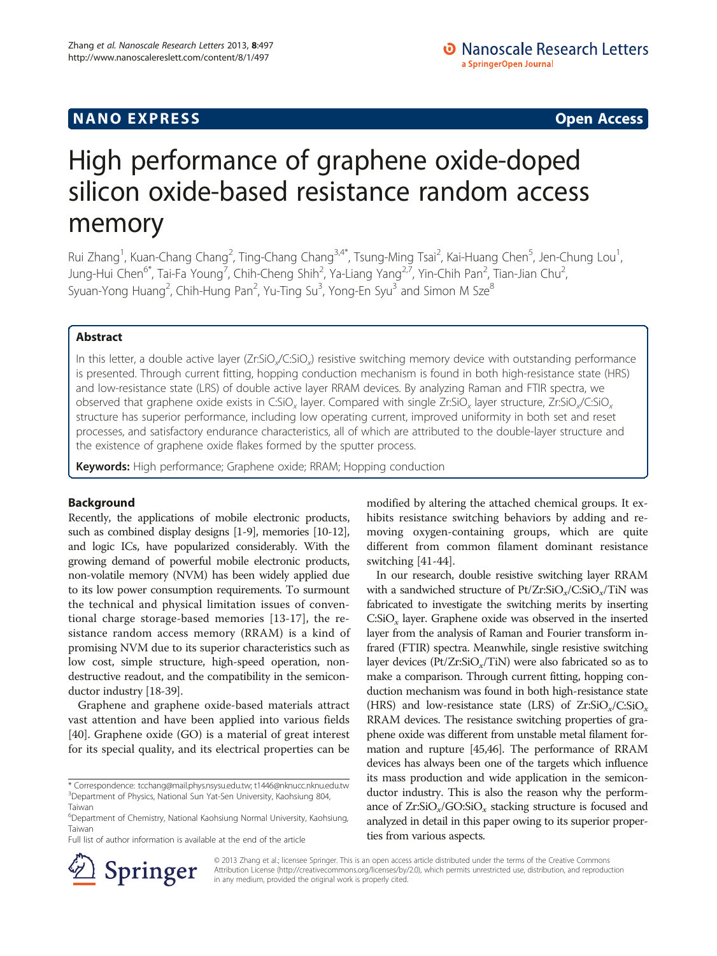## **NANO EXPRESS** Open Access and the set of the set of the set of the set of the set of the set of the set of the set of the set of the set of the set of the set of the set of the set of the set of the set of the set of the

# High performance of graphene oxide-doped silicon oxide-based resistance random access memory

Rui Zhang<sup>1</sup>, Kuan-Chang Chang<sup>2</sup>, Ting-Chang Chang<sup>3,4\*</sup>, Tsung-Ming Tsai<sup>2</sup>, Kai-Huang Chen<sup>5</sup>, Jen-Chung Lou<sup>1</sup> , Jung-Hui Chen<sup>6\*</sup>, Tai-Fa Young<sup>7</sup>, Chih-Cheng Shih<sup>2</sup>, Ya-Liang Yang<sup>2,7</sup>, Yin-Chih Pan<sup>2</sup>, Tian-Jian Chu<sup>2</sup> , Syuan-Yong Huang<sup>2</sup>, Chih-Hung Pan<sup>2</sup>, Yu-Ting Su<sup>3</sup>, Yong-En Syu<sup>3</sup> and Simon M Sze $^8$ 

## Abstract

In this letter, a double active layer (Zr:SiO<sub>x</sub>/C:SiO<sub>x</sub>) resistive switching memory device with outstanding performance is presented. Through current fitting, hopping conduction mechanism is found in both high-resistance state (HRS) and low-resistance state (LRS) of double active layer RRAM devices. By analyzing Raman and FTIR spectra, we observed that graphene oxide exists in C:SiO<sub>x</sub> layer. Compared with single Zr:SiO<sub>x</sub> layer structure, Zr:SiO<sub>x</sub>/C:SiO<sub>x</sub> structure has superior performance, including low operating current, improved uniformity in both set and reset processes, and satisfactory endurance characteristics, all of which are attributed to the double-layer structure and the existence of graphene oxide flakes formed by the sputter process.

Keywords: High performance; Graphene oxide; RRAM; Hopping conduction

## Background

Recently, the applications of mobile electronic products, such as combined display designs [\[1-9\]](#page-4-0), memories [\[10-12](#page-4-0)], and logic ICs, have popularized considerably. With the growing demand of powerful mobile electronic products, non-volatile memory (NVM) has been widely applied due to its low power consumption requirements. To surmount the technical and physical limitation issues of conventional charge storage-based memories [\[13](#page-4-0)-[17\]](#page-4-0), the resistance random access memory (RRAM) is a kind of promising NVM due to its superior characteristics such as low cost, simple structure, high-speed operation, nondestructive readout, and the compatibility in the semiconductor industry [\[18-](#page-4-0)[39\]](#page-5-0).

Graphene and graphene oxide-based materials attract vast attention and have been applied into various fields [[40\]](#page-5-0). Graphene oxide (GO) is a material of great interest for its special quality, and its electrical properties can be

Full list of author information is available at the end of the article

modified by altering the attached chemical groups. It exhibits resistance switching behaviors by adding and removing oxygen-containing groups, which are quite different from common filament dominant resistance switching [[41](#page-5-0)-[44\]](#page-5-0).

In our research, double resistive switching layer RRAM with a sandwiched structure of  $Pt/Zr:SiO_x/C:SiO_x/TiN$  was fabricated to investigate the switching merits by inserting  $\text{C:SiO}_x$  layer. Graphene oxide was observed in the inserted layer from the analysis of Raman and Fourier transform infrared (FTIR) spectra. Meanwhile, single resistive switching layer devices ( $Pt/Zr:SiO<sub>x</sub>/TiN$ ) were also fabricated so as to make a comparison. Through current fitting, hopping conduction mechanism was found in both high-resistance state (HRS) and low-resistance state (LRS) of  $Zr:SiO_x/C:SiO_x$ RRAM devices. The resistance switching properties of graphene oxide was different from unstable metal filament formation and rupture [\[45,46](#page-5-0)]. The performance of RRAM devices has always been one of the targets which influence its mass production and wide application in the semiconductor industry. This is also the reason why the performance of  $Zr:SiO_x/GO:SiO_x$  stacking structure is focused and analyzed in detail in this paper owing to its superior properties from various aspects.



© 2013 Zhang et al.; licensee Springer. This is an open access article distributed under the terms of the Creative Commons Attribution License [\(http://creativecommons.org/licenses/by/2.0\)](http://creativecommons.org/licenses/by/2.0), which permits unrestricted use, distribution, and reproduction in any medium, provided the original work is properly cited.

<sup>\*</sup> Correspondence: [tcchang@mail.phys.nsysu.edu.tw](mailto:tcchang@mail.phys.nsysu.edu.tw); [t1446@nknucc.nknu.edu.tw](mailto:t1446@nknucc.nknu.edu.tw) <sup>3</sup>Department of Physics, National Sun Yat-Sen University, Kaohsiung 804, Taiwan

<sup>6</sup> Department of Chemistry, National Kaohsiung Normal University, Kaohsiung, Taiwan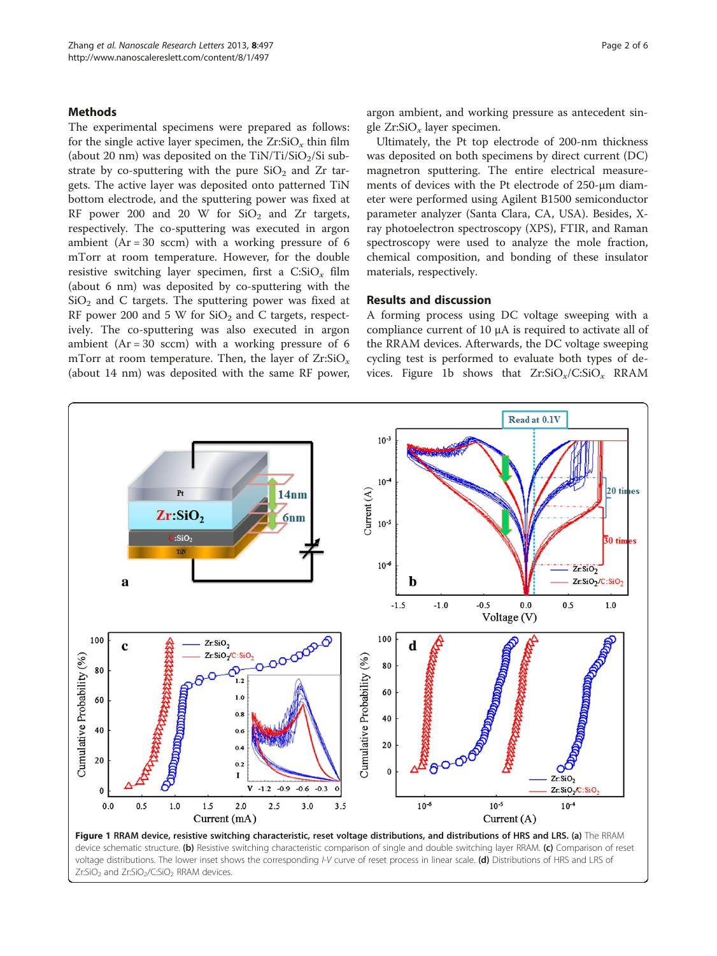### <span id="page-1-0"></span>**Methods**

The experimental specimens were prepared as follows: for the single active layer specimen, the  $Zr:SiO_x$  thin film (about 20 nm) was deposited on the  $TiN/Ti/SiO<sub>2</sub>/Si$  substrate by co-sputtering with the pure  $SiO<sub>2</sub>$  and Zr targets. The active layer was deposited onto patterned TiN bottom electrode, and the sputtering power was fixed at RF power 200 and 20 W for  $SiO<sub>2</sub>$  and Zr targets, respectively. The co-sputtering was executed in argon ambient ( $Ar = 30$  sccm) with a working pressure of 6 mTorr at room temperature. However, for the double resistive switching layer specimen, first a  $C:SiO<sub>x</sub>$  film (about 6 nm) was deposited by co-sputtering with the  $SiO<sub>2</sub>$  and C targets. The sputtering power was fixed at RF power 200 and 5 W for  $SiO<sub>2</sub>$  and C targets, respectively. The co-sputtering was also executed in argon ambient  $(Ar = 30$  sccm) with a working pressure of 6 mTorr at room temperature. Then, the layer of  $Zr:SiO<sub>x</sub>$ (about 14 nm) was deposited with the same RF power,

argon ambient, and working pressure as antecedent single  $Zr:SiO_x$  layer specimen.

Ultimately, the Pt top electrode of 200-nm thickness was deposited on both specimens by direct current (DC) magnetron sputtering. The entire electrical measurements of devices with the Pt electrode of 250-μm diameter were performed using Agilent B1500 semiconductor parameter analyzer (Santa Clara, CA, USA). Besides, Xray photoelectron spectroscopy (XPS), FTIR, and Raman spectroscopy were used to analyze the mole fraction, chemical composition, and bonding of these insulator materials, respectively.

## Results and discussion

A forming process using DC voltage sweeping with a compliance current of 10 μA is required to activate all of the RRAM devices. Afterwards, the DC voltage sweeping cycling test is performed to evaluate both types of devices. Figure 1b shows that  $Zr:SiO_x/C:SiO_x$  RRAM



Zr:SiO<sub>2</sub> and Zr:SiO<sub>2</sub>/C:SiO<sub>2</sub> RRAM devices.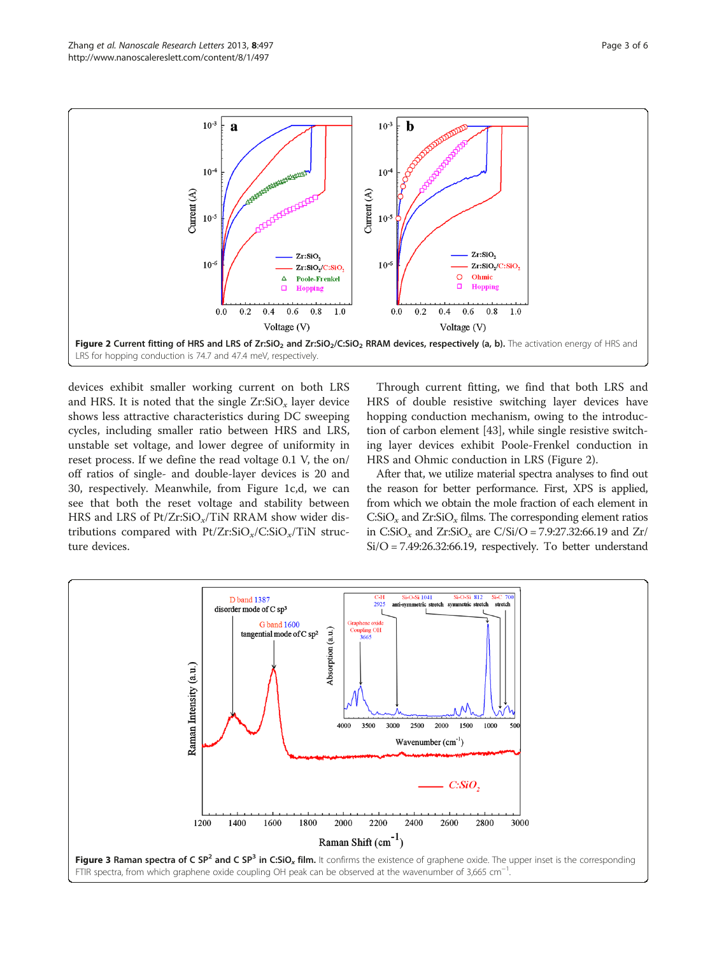<span id="page-2-0"></span>

devices exhibit smaller working current on both LRS and HRS. It is noted that the single  $Zr:SiO_x$  layer device shows less attractive characteristics during DC sweeping cycles, including smaller ratio between HRS and LRS, unstable set voltage, and lower degree of uniformity in reset process. If we define the read voltage 0.1 V, the on/ off ratios of single- and double-layer devices is 20 and 30, respectively. Meanwhile, from Figure [1c](#page-1-0),d, we can see that both the reset voltage and stability between HRS and LRS of  $Pt/Zr:SiO_x/TiN$  RRAM show wider distributions compared with  $Pt/Zr:SiO_x/C:SiO_x/TiN$  structure devices.

Through current fitting, we find that both LRS and HRS of double resistive switching layer devices have hopping conduction mechanism, owing to the introduction of carbon element [\[43](#page-5-0)], while single resistive switching layer devices exhibit Poole-Frenkel conduction in HRS and Ohmic conduction in LRS (Figure 2).

After that, we utilize material spectra analyses to find out the reason for better performance. First, XPS is applied, from which we obtain the mole fraction of each element in  $\text{C:SiO}_x$  and  $\text{Zr:SiO}_x$  films. The corresponding element ratios in C:SiO<sub>x</sub> and Zr:SiO<sub>x</sub> are C/Si/O = 7.9:27.32:66.19 and Zr/ Si/O = 7.49:26.32:66.19, respectively. To better understand

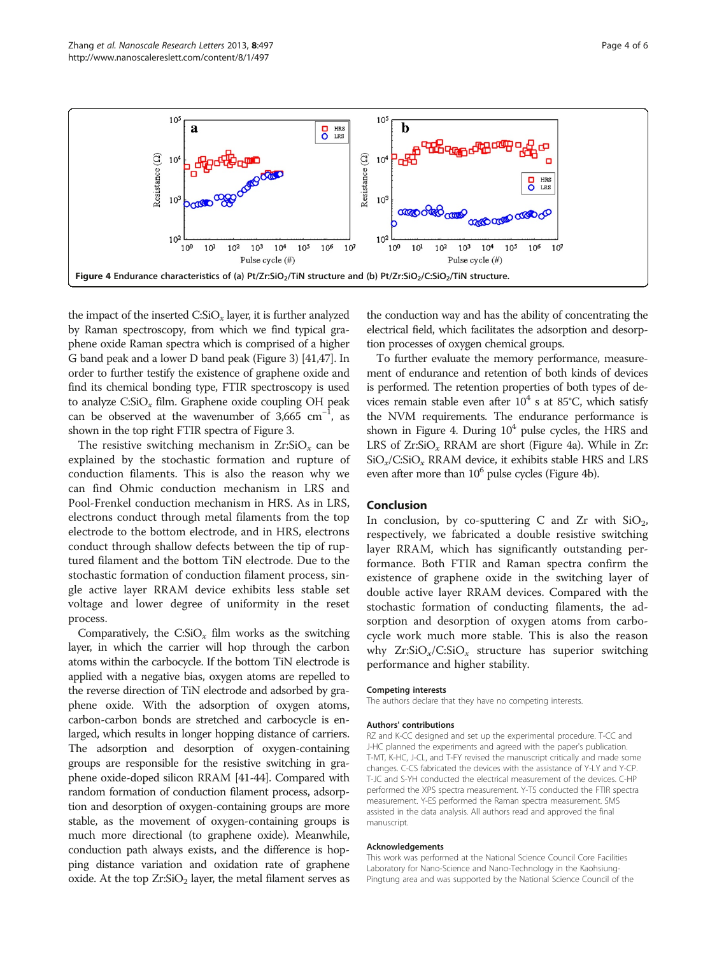

the impact of the inserted  $C.SiO<sub>x</sub>$  layer, it is further analyzed by Raman spectroscopy, from which we find typical graphene oxide Raman spectra which is comprised of a higher G band peak and a lower D band peak (Figure [3](#page-2-0)) [[41,47](#page-5-0)]. In order to further testify the existence of graphene oxide and find its chemical bonding type, FTIR spectroscopy is used to analyze  $C:SiO<sub>x</sub>$  film. Graphene oxide coupling OH peak can be observed at the wavenumber of  $3,665$  cm<sup>-1</sup>, as shown in the top right FTIR spectra of Figure [3.](#page-2-0)

The resistive switching mechanism in  $Zr:SiO<sub>x</sub>$  can be explained by the stochastic formation and rupture of conduction filaments. This is also the reason why we can find Ohmic conduction mechanism in LRS and Pool-Frenkel conduction mechanism in HRS. As in LRS, electrons conduct through metal filaments from the top electrode to the bottom electrode, and in HRS, electrons conduct through shallow defects between the tip of ruptured filament and the bottom TiN electrode. Due to the stochastic formation of conduction filament process, single active layer RRAM device exhibits less stable set voltage and lower degree of uniformity in the reset process.

Comparatively, the  $C:SiO<sub>x</sub>$  film works as the switching layer, in which the carrier will hop through the carbon atoms within the carbocycle. If the bottom TiN electrode is applied with a negative bias, oxygen atoms are repelled to the reverse direction of TiN electrode and adsorbed by graphene oxide. With the adsorption of oxygen atoms, carbon-carbon bonds are stretched and carbocycle is enlarged, which results in longer hopping distance of carriers. The adsorption and desorption of oxygen-containing groups are responsible for the resistive switching in graphene oxide-doped silicon RRAM [\[41-44](#page-5-0)]. Compared with random formation of conduction filament process, adsorption and desorption of oxygen-containing groups are more stable, as the movement of oxygen-containing groups is much more directional (to graphene oxide). Meanwhile, conduction path always exists, and the difference is hopping distance variation and oxidation rate of graphene oxide. At the top  $Zr:SiO<sub>2</sub>$  layer, the metal filament serves as the conduction way and has the ability of concentrating the electrical field, which facilitates the adsorption and desorption processes of oxygen chemical groups.

To further evaluate the memory performance, measurement of endurance and retention of both kinds of devices is performed. The retention properties of both types of devices remain stable even after  $10^4$  s at 85°C, which satisfy the NVM requirements. The endurance performance is shown in Figure 4. During  $10<sup>4</sup>$  pulse cycles, the HRS and LRS of  $Zr:SiO_x$  RRAM are short (Figure 4a). While in  $Zr$ :  $SiO_x/C:SiO_x$  RRAM device, it exhibits stable HRS and LRS even after more than  $10^6$  pulse cycles (Figure 4b).

#### Conclusion

In conclusion, by co-sputtering C and Zr with  $SiO<sub>2</sub>$ , respectively, we fabricated a double resistive switching layer RRAM, which has significantly outstanding performance. Both FTIR and Raman spectra confirm the existence of graphene oxide in the switching layer of double active layer RRAM devices. Compared with the stochastic formation of conducting filaments, the adsorption and desorption of oxygen atoms from carbocycle work much more stable. This is also the reason why  $Zr:SiO_x/C:SiO_x$  structure has superior switching performance and higher stability.

#### Competing interests

The authors declare that they have no competing interests.

#### Authors' contributions

RZ and K-CC designed and set up the experimental procedure. T-CC and J-HC planned the experiments and agreed with the paper's publication. T-MT, K-HC, J-CL, and T-FY revised the manuscript critically and made some changes. C-CS fabricated the devices with the assistance of Y-LY and Y-CP. T-JC and S-YH conducted the electrical measurement of the devices. C-HP performed the XPS spectra measurement. Y-TS conducted the FTIR spectra measurement. Y-ES performed the Raman spectra measurement. SMS assisted in the data analysis. All authors read and approved the final manuscript.

#### Acknowledgements

This work was performed at the National Science Council Core Facilities Laboratory for Nano-Science and Nano-Technology in the Kaohsiung-Pingtung area and was supported by the National Science Council of the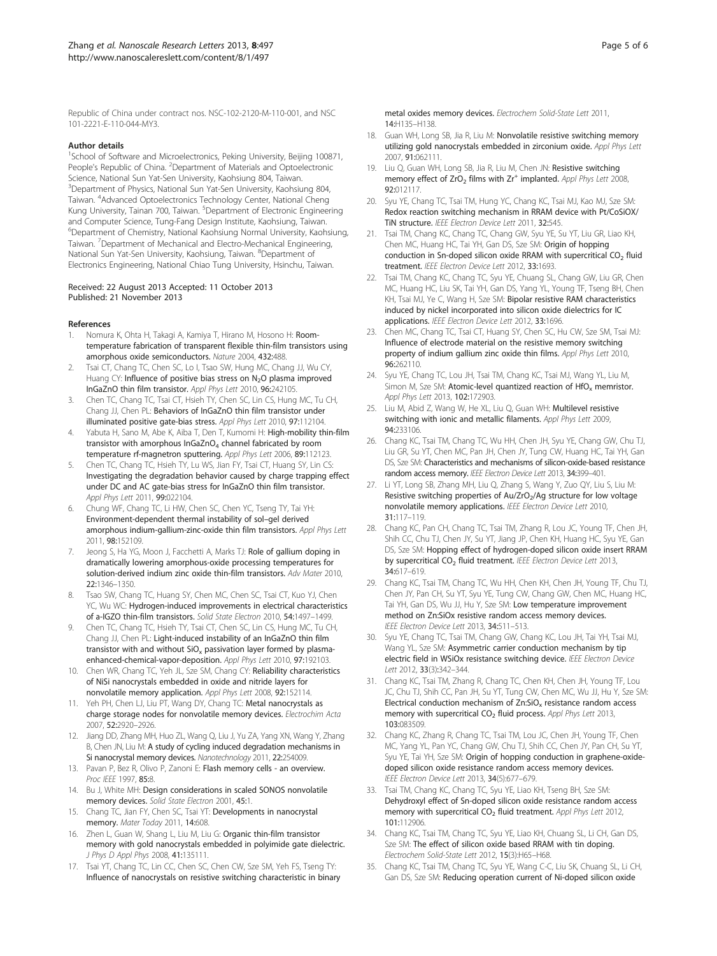<span id="page-4-0"></span>Republic of China under contract nos. NSC-102-2120-M-110-001, and NSC 101-2221-E-110-044-MY3.

#### Author details

<sup>1</sup>School of Software and Microelectronics, Peking University, Beijing 100871, People's Republic of China. <sup>2</sup>Department of Materials and Optoelectronic Science, National Sun Yat-Sen University, Kaohsiung 804, Taiwan. <sup>3</sup>Department of Physics, National Sun Yat-Sen University, Kaohsiung 804, Taiwan. <sup>4</sup>Advanced Optoelectronics Technology Center, National Cheng Kung University, Tainan 700, Taiwan. <sup>5</sup>Department of Electronic Engineering and Computer Science, Tung-Fang Design Institute, Kaohsiung, Taiwan. 6 Department of Chemistry, National Kaohsiung Normal University, Kaohsiung, Taiwan. <sup>7</sup>Department of Mechanical and Electro-Mechanical Engineering, National Sun Yat-Sen University, Kaohsiung, Taiwan. <sup>8</sup>Department of Electronics Engineering, National Chiao Tung University, Hsinchu, Taiwan.

#### Received: 22 August 2013 Accepted: 11 October 2013 Published: 21 November 2013

#### References

- 1. Nomura K, Ohta H, Takagi A, Kamiya T, Hirano M, Hosono H: Roomtemperature fabrication of transparent flexible thin-film transistors using amorphous oxide semiconductors. Nature 2004, 432:488.
- Tsai CT, Chang TC, Chen SC, Lo I, Tsao SW, Hung MC, Chang JJ, Wu CY, Huang CY: Influence of positive bias stress on N<sub>2</sub>O plasma improved InGaZnO thin film transistor. Appl Phys Lett 2010, 96:242105.
- 3. Chen TC, Chang TC, Tsai CT, Hsieh TY, Chen SC, Lin CS, Hung MC, Tu CH, Chang JJ, Chen PL: Behaviors of InGaZnO thin film transistor under illuminated positive gate-bias stress. Appl Phys Lett 2010, 97:112104.
- Yabuta H, Sano M, Abe K, Aiba T, Den T, Kumomi H: High-mobility thin-film transistor with amorphous InGaZnO<sub>4</sub> channel fabricated by room temperature rf-magnetron sputtering. Appl Phys Lett 2006, 89:112123.
- Chen TC, Chang TC, Hsieh TY, Lu WS, Jian FY, Tsai CT, Huang SY, Lin CS: Investigating the degradation behavior caused by charge trapping effect under DC and AC gate-bias stress for InGaZnO thin film transistor. Appl Phys Lett 2011, 99:022104.
- 6. Chung WF, Chang TC, Li HW, Chen SC, Chen YC, Tseng TY, Tai YH: Environment-dependent thermal instability of sol–gel derived amorphous indium-gallium-zinc-oxide thin film transistors. Appl Phys Lett 2011, 98:152109.
- 7. Jeong S, Ha YG, Moon J, Facchetti A, Marks TJ: Role of gallium doping in dramatically lowering amorphous-oxide processing temperatures for solution-derived indium zinc oxide thin-film transistors. Adv Mater 2010, 22:1346–1350.
- Tsao SW, Chang TC, Huang SY, Chen MC, Chen SC, Tsai CT, Kuo YJ, Chen YC, Wu WC: Hydrogen-induced improvements in electrical characteristics of a-IGZO thin-film transistors. Solid State Electron 2010, 54:1497–1499.
- 9. Chen TC, Chang TC, Hsieh TY, Tsai CT, Chen SC, Lin CS, Hung MC, Tu CH, Chang JJ, Chen PL: Light-induced instability of an InGaZnO thin film transistor with and without  $SiO<sub>x</sub>$  passivation layer formed by plasmaenhanced-chemical-vapor-deposition. Appl Phys Lett 2010, 97:192103.
- 10. Chen WR, Chang TC, Yeh JL, Sze SM, Chang CY: Reliability characteristics of NiSi nanocrystals embedded in oxide and nitride layers for nonvolatile memory application. Appl Phys Lett 2008, 92:152114.
- 11. Yeh PH, Chen LJ, Liu PT, Wang DY, Chang TC: Metal nanocrystals as charge storage nodes for nonvolatile memory devices. Electrochim Acta 2007, 52:2920–2926.
- 12. Jiang DD, Zhang MH, Huo ZL, Wang Q, Liu J, Yu ZA, Yang XN, Wang Y, Zhang B, Chen JN, Liu M: A study of cycling induced degradation mechanisms in Si nanocrystal memory devices. Nanotechnology 2011, 22:254009.
- 13. Pavan P, Bez R, Olivo P, Zanoni E: Flash memory cells an overview. Proc IEEE 1997, 85:8.
- 14. Bu J, White MH: Design considerations in scaled SONOS nonvolatile memory devices. Solid State Electron 2001, 45:1.
- 15. Chang TC, Jian FY, Chen SC, Tsai YT: Developments in nanocrystal memory. Mater Today 2011, 14:608.
- 16. Zhen L, Guan W, Shang L, Liu M, Liu G: Organic thin-film transistor memory with gold nanocrystals embedded in polyimide gate dielectric. J Phys D Appl Phys 2008, 41:135111.
- 17. Tsai YT, Chang TC, Lin CC, Chen SC, Chen CW, Sze SM, Yeh FS, Tseng TY: Influence of nanocrystals on resistive switching characteristic in binary

metal oxides memory devices. Electrochem Solid-State Lett 2011, 14:H135–H138.

- 18. Guan WH, Long SB, Jia R, Liu M: Nonvolatile resistive switching memory utilizing gold nanocrystals embedded in zirconium oxide. Appl Phys Lett 2007, 91:062111.
- 19. Liu Q, Guan WH, Long SB, Jia R, Liu M, Chen JN: Resistive switching memory effect of  $ZrO<sub>2</sub>$  films with  $Zr<sup>+</sup>$  implanted. Appl Phys Lett 2008, 92:012117.
- 20. Syu YE, Chang TC, Tsai TM, Hung YC, Chang KC, Tsai MJ, Kao MJ, Sze SM: Redox reaction switching mechanism in RRAM device with Pt/CoSiOX/ TiN structure. IEEE Electron Device Lett 2011, 32:545.
- 21. Tsai TM, Chang KC, Chang TC, Chang GW, Syu YE, Su YT, Liu GR, Liao KH, Chen MC, Huang HC, Tai YH, Gan DS, Sze SM: Origin of hopping conduction in Sn-doped silicon oxide RRAM with supercritical  $CO<sub>2</sub>$  fluid treatment. IEEE Electron Device Lett 2012, 33:1693.
- 22. Tsai TM, Chang KC, Chang TC, Syu YE, Chuang SL, Chang GW, Liu GR, Chen MC, Huang HC, Liu SK, Tai YH, Gan DS, Yang YL, Young TF, Tseng BH, Chen KH, Tsai MJ, Ye C, Wang H, Sze SM: Bipolar resistive RAM characteristics induced by nickel incorporated into silicon oxide dielectrics for IC applications. IEEE Electron Device Lett 2012, 33:1696.
- 23. Chen MC, Chang TC, Tsai CT, Huang SY, Chen SC, Hu CW, Sze SM, Tsai MJ: Influence of electrode material on the resistive memory switching property of indium gallium zinc oxide thin films. Appl Phys Lett 2010, 96:262110.
- 24. Syu YE, Chang TC, Lou JH, Tsai TM, Chang KC, Tsai MJ, Wang YL, Liu M, Simon M, Sze SM: Atomic-level quantized reaction of  $HfO_x$  memristor. Appl Phys Lett 2013, 102:172903.
- 25. Liu M, Abid Z, Wang W, He XL, Liu Q, Guan WH: Multilevel resistive switching with ionic and metallic filaments. Appl Phys Lett 2009, 94:233106.
- 26. Chang KC, Tsai TM, Chang TC, Wu HH, Chen JH, Syu YE, Chang GW, Chu TJ, Liu GR, Su YT, Chen MC, Pan JH, Chen JY, Tung CW, Huang HC, Tai YH, Gan DS, Sze SM: Characteristics and mechanisms of silicon-oxide-based resistance random access memory. IEEE Electron Device Lett 2013, 34:399-401.
- 27. Li YT, Long SB, Zhang MH, Liu Q, Zhang S, Wang Y, Zuo QY, Liu S, Liu M: Resistive switching properties of Au/ZrO<sub>2</sub>/Ag structure for low voltage nonvolatile memory applications. IEEE Electron Device Lett 2010, 31:117–119.
- 28. Chang KC, Pan CH, Chang TC, Tsai TM, Zhang R, Lou JC, Young TF, Chen JH, Shih CC, Chu TJ, Chen JY, Su YT, Jiang JP, Chen KH, Huang HC, Syu YE, Gan DS, Sze SM: Hopping effect of hydrogen-doped silicon oxide insert RRAM by supercritical CO<sub>2</sub> fluid treatment. IEEE Electron Device Lett 2013, 34:617–619.
- 29. Chang KC, Tsai TM, Chang TC, Wu HH, Chen KH, Chen JH, Young TF, Chu TJ, Chen JY, Pan CH, Su YT, Syu YE, Tung CW, Chang GW, Chen MC, Huang HC, Tai YH, Gan DS, Wu JJ, Hu Y, Sze SM: Low temperature improvement method on Zn:SiOx resistive random access memory devices. IEEE Electron Device Lett 2013, 34:511-513.
- 30. Syu YE, Chang TC, Tsai TM, Chang GW, Chang KC, Lou JH, Tai YH, Tsai MJ, Wang YL, Sze SM: Asymmetric carrier conduction mechanism by tip electric field in WSiOx resistance switching device. IEEE Electron Device Lett 2012, 33(3):342–344.
- 31. Chang KC, Tsai TM, Zhang R, Chang TC, Chen KH, Chen JH, Young TF, Lou JC, Chu TJ, Shih CC, Pan JH, Su YT, Tung CW, Chen MC, Wu JJ, Hu Y, Sze SM: Electrical conduction mechanism of  $Zn:SiO<sub>x</sub>$  resistance random access memory with supercritical CO<sub>2</sub> fluid process. Appl Phys Lett 2013, 103:083509.
- 32. Chang KC, Zhang R, Chang TC, Tsai TM, Lou JC, Chen JH, Young TF, Chen MC, Yang YL, Pan YC, Chang GW, Chu TJ, Shih CC, Chen JY, Pan CH, Su YT, Syu YE, Tai YH, Sze SM: Origin of hopping conduction in graphene-oxidedoped silicon oxide resistance random access memory devices. IEEE Electron Device Lett 2013, 34(5):677–679.
- 33. Tsai TM, Chang KC, Chang TC, Syu YE, Liao KH, Tseng BH, Sze SM: Dehydroxyl effect of Sn-doped silicon oxide resistance random access memory with supercritical CO<sub>2</sub> fluid treatment. Appl Phys Lett 2012, 101:112906.
- 34. Chang KC, Tsai TM, Chang TC, Syu YE, Liao KH, Chuang SL, Li CH, Gan DS, Sze SM: The effect of silicon oxide based RRAM with tin doping. Electrochem Solid-State Lett 2012, 15(3):H65–H68.
- 35. Chang KC, Tsai TM, Chang TC, Syu YE, Wang C-C, Liu SK, Chuang SL, Li CH, Gan DS, Sze SM: Reducing operation current of Ni-doped silicon oxide